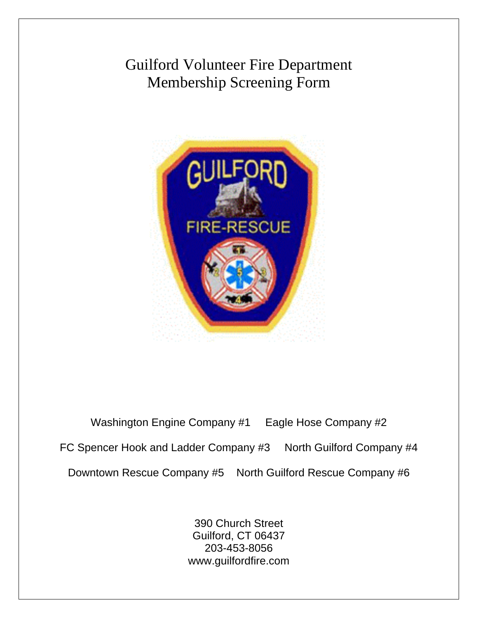# Guilford Volunteer Fire Department Membership Screening Form



Washington Engine Company #1 Eagle Hose Company #2 FC Spencer Hook and Ladder Company #3 North Guilford Company #4 Downtown Rescue Company #5 North Guilford Rescue Company #6

> 390 Church Street Guilford, CT 06437 203-453-8056 www.guilfordfire.com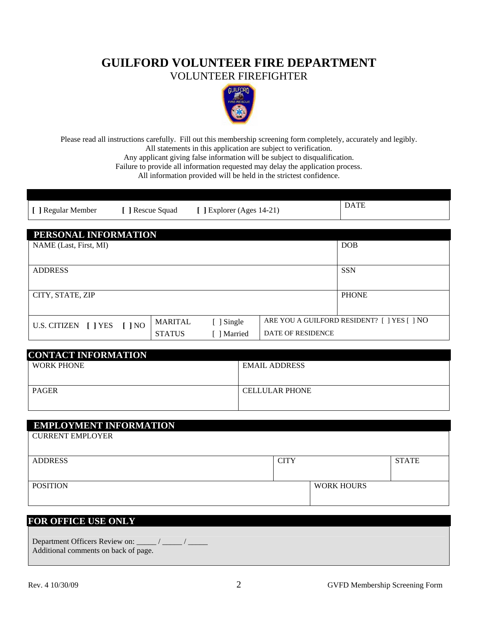## **GUILFORD VOLUNTEER FIRE DEPARTMENT**  VOLUNTEER FIREFIGHTER



Please read all instructions carefully. Fill out this membership screening form completely, accurately and legibly. All statements in this application are subject to verification.

Any applicant giving false information will be subject to disqualification.

Failure to provide all information requested may delay the application process.

All information provided will be held in the strictest confidence.

| [ ] Regular Member | l Rescue Squad | J Explorer (Ages 14-21) | <b>DATE</b> |
|--------------------|----------------|-------------------------|-------------|

| PERSONAL INFORMATION               |                |                                                           |                   |              |
|------------------------------------|----------------|-----------------------------------------------------------|-------------------|--------------|
| NAME (Last, First, MI)             |                |                                                           |                   | <b>DOB</b>   |
|                                    |                |                                                           |                   |              |
| <b>ADDRESS</b>                     |                |                                                           |                   | <b>SSN</b>   |
|                                    |                |                                                           |                   |              |
| CITY, STATE, ZIP                   |                |                                                           |                   | <b>PHONE</b> |
|                                    |                |                                                           |                   |              |
| U.S. CITIZEN [ ] YES<br>$[$ $]$ NO | <b>MARITAL</b> | ARE YOU A GUILFORD RESIDENT? [ ] YES [ ] NO<br>[ ] Single |                   |              |
|                                    | <b>STATUS</b>  | Married                                                   | DATE OF RESIDENCE |              |

| <b>CONTACT INFORMATION</b> |                       |
|----------------------------|-----------------------|
| <b>WORK PHONE</b>          | <b>EMAIL ADDRESS</b>  |
|                            |                       |
| <b>PAGER</b>               | <b>CELLULAR PHONE</b> |
|                            |                       |

| <b>EMPLOYMENT INFORMATION</b> |             |                   |              |
|-------------------------------|-------------|-------------------|--------------|
| <b>CURRENT EMPLOYER</b>       |             |                   |              |
|                               |             |                   |              |
| <b>ADDRESS</b>                | <b>CITY</b> |                   | <b>STATE</b> |
|                               |             |                   |              |
| <b>POSITION</b>               |             | <b>WORK HOURS</b> |              |
|                               |             |                   |              |

### **FOR OFFICE USE ONLY**

Department Officers Review on: \_\_\_\_\_ / \_\_\_\_\_ / \_\_\_\_\_ Additional comments on back of page.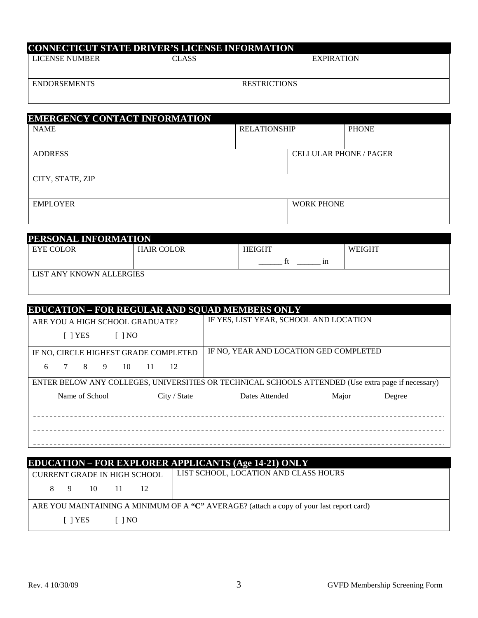| <b>CONNECTICUT STATE DRIVER'S LICENSE INFORMATION</b> |              |                     |                   |  |  |  |  |
|-------------------------------------------------------|--------------|---------------------|-------------------|--|--|--|--|
| LICENSE NUMBER                                        | <b>CLASS</b> |                     | <b>EXPIRATION</b> |  |  |  |  |
|                                                       |              |                     |                   |  |  |  |  |
| <b>ENDORSEMENTS</b>                                   |              | <b>RESTRICTIONS</b> |                   |  |  |  |  |
|                                                       |              |                     |                   |  |  |  |  |

| <b>EMERGENCY CONTACT INFORMATION</b> |                               |  |  |  |  |  |
|--------------------------------------|-------------------------------|--|--|--|--|--|
|                                      | <b>PHONE</b>                  |  |  |  |  |  |
|                                      |                               |  |  |  |  |  |
|                                      | <b>CELLULAR PHONE / PAGER</b> |  |  |  |  |  |
|                                      |                               |  |  |  |  |  |
|                                      |                               |  |  |  |  |  |
|                                      |                               |  |  |  |  |  |
| <b>WORK PHONE</b>                    |                               |  |  |  |  |  |
|                                      |                               |  |  |  |  |  |
|                                      | <b>RELATIONSHIP</b>           |  |  |  |  |  |

| PERSONAL INFORMATION     |                   |               |               |  |  |  |  |  |
|--------------------------|-------------------|---------------|---------------|--|--|--|--|--|
| EYE COLOR                | <b>HAIR COLOR</b> | <b>HEIGHT</b> | <b>WEIGHT</b> |  |  |  |  |  |
|                          |                   | 1n            |               |  |  |  |  |  |
| LIST ANY KNOWN ALLERGIES |                   |               |               |  |  |  |  |  |
|                          |                   |               |               |  |  |  |  |  |

| <b>EDUCATION - FOR REGULAR AND SQUAD MEMBERS ONLY</b> |                                                                                                    |  |  |  |  |  |  |
|-------------------------------------------------------|----------------------------------------------------------------------------------------------------|--|--|--|--|--|--|
| ARE YOU A HIGH SCHOOL GRADUATE?                       | IF YES, LIST YEAR, SCHOOL AND LOCATION                                                             |  |  |  |  |  |  |
| [ ] YES<br>$\lceil$ $\rceil$ NO                       |                                                                                                    |  |  |  |  |  |  |
| IF NO, CIRCLE HIGHEST GRADE COMPLETED                 | IF NO, YEAR AND LOCATION GED COMPLETED                                                             |  |  |  |  |  |  |
| 8 <sup>1</sup><br>9<br>- 10<br>11 12<br>6             |                                                                                                    |  |  |  |  |  |  |
|                                                       | ENTER BELOW ANY COLLEGES, UNIVERSITIES OR TECHNICAL SCHOOLS ATTENDED (Use extra page if necessary) |  |  |  |  |  |  |
| Name of School<br>City / State                        | Dates Attended<br>Major<br>Degree                                                                  |  |  |  |  |  |  |
|                                                       |                                                                                                    |  |  |  |  |  |  |
|                                                       |                                                                                                    |  |  |  |  |  |  |
|                                                       |                                                                                                    |  |  |  |  |  |  |
|                                                       |                                                                                                    |  |  |  |  |  |  |
|                                                       |                                                                                                    |  |  |  |  |  |  |

|                                     |                                                                                          |         |  |                      |                                       | <b>EDUCATION – FOR EXPLORER APPLICANTS (Age 14-21) ONLY</b> |  |
|-------------------------------------|------------------------------------------------------------------------------------------|---------|--|----------------------|---------------------------------------|-------------------------------------------------------------|--|
| <b>CURRENT GRADE IN HIGH SCHOOL</b> |                                                                                          |         |  |                      | LIST SCHOOL, LOCATION AND CLASS HOURS |                                                             |  |
|                                     |                                                                                          | 8 9 10  |  | 11 12                |                                       |                                                             |  |
|                                     | ARE YOU MAINTAINING A MINIMUM OF A "C" AVERAGE? (attach a copy of your last report card) |         |  |                      |                                       |                                                             |  |
|                                     |                                                                                          | [ ] YES |  | $\lceil$ $\rceil$ NO |                                       |                                                             |  |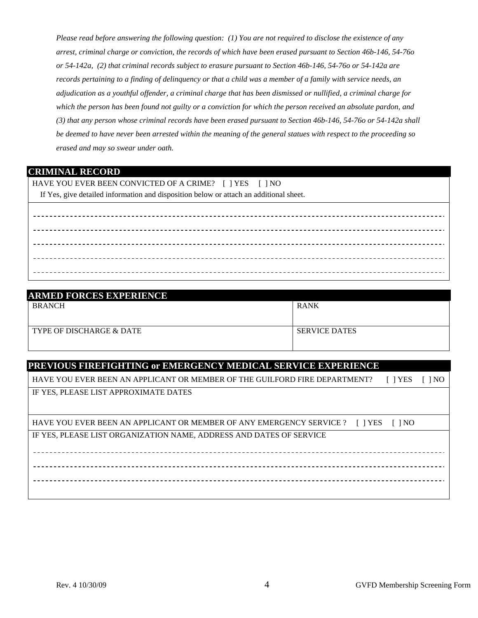*Please read before answering the following question: (1) You are not required to disclose the existence of any arrest, criminal charge or conviction, the records of which have been erased pursuant to Section 46b-146, 54-76o or 54-142a, (2) that criminal records subject to erasure pursuant to Section 46b-146, 54-76o or 54-142a are records pertaining to a finding of delinquency or that a child was a member of a family with service needs, an adjudication as a youthful offender, a criminal charge that has been dismissed or nullified, a criminal charge for which the person has been found not guilty or a conviction for which the person received an absolute pardon, and (3) that any person whose criminal records have been erased pursuant to Section 46b-146, 54-76o or 54-142a shall be deemed to have never been arrested within the meaning of the general statues with respect to the proceeding so erased and may so swear under oath.* 

#### **CRIMINAL RECORD**

HAVE YOU EVER BEEN CONVICTED OF A CRIME? [ ] YES [ ] NO

If Yes, give detailed information and disposition below or attach an additional sheet.

| <b>ARMED FORCES EXPERIENCE</b> |                      |  |  |  |  |  |
|--------------------------------|----------------------|--|--|--|--|--|
| <b>BRANCH</b>                  | <b>RANK</b>          |  |  |  |  |  |
|                                |                      |  |  |  |  |  |
| TYPE OF DISCHARGE & DATE       | <b>SERVICE DATES</b> |  |  |  |  |  |
|                                |                      |  |  |  |  |  |

#### **PREVIOUS FIREFIGHTING or EMERGENCY MEDICAL SERVICE EXPERIENCE**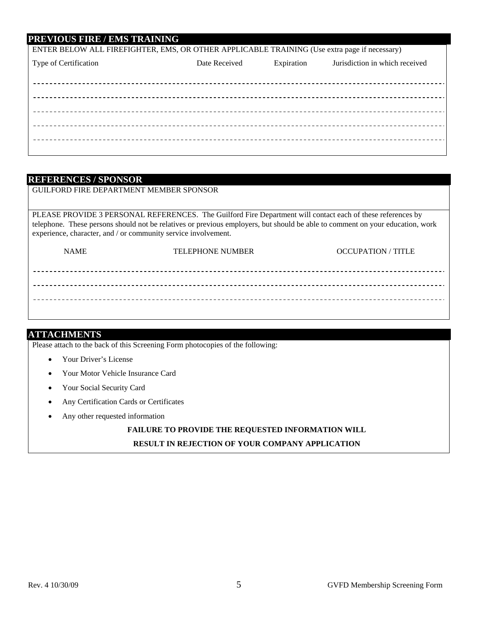#### **PREVIOUS FIRE / EMS TRAINING**

| ENTER BELOW ALL FIREFIGHTER, EMS, OR OTHER APPLICABLE TRAINING (Use extra page if necessary) |               |            |                                |  |  |  |
|----------------------------------------------------------------------------------------------|---------------|------------|--------------------------------|--|--|--|
| Type of Certification                                                                        | Date Received | Expiration | Jurisdiction in which received |  |  |  |
|                                                                                              |               |            |                                |  |  |  |
|                                                                                              |               |            |                                |  |  |  |
|                                                                                              |               |            |                                |  |  |  |
|                                                                                              |               |            |                                |  |  |  |
|                                                                                              |               |            |                                |  |  |  |
|                                                                                              |               |            |                                |  |  |  |
|                                                                                              |               |            |                                |  |  |  |
|                                                                                              |               |            |                                |  |  |  |

#### **REFERENCES / SPONSOR**

GUILFORD FIRE DEPARTMENT MEMBER SPONSOR

PLEASE PROVIDE 3 PERSONAL REFERENCES. The Guilford Fire Department will contact each of these references by telephone. These persons should not be relatives or previous employers, but should be able to comment on your education, work experience, character, and / or community service involvement.

| <b>NAME</b> | <b>TELEPHONE NUMBER</b> | <b>OCCUPATION / TITLE</b> |
|-------------|-------------------------|---------------------------|
|             |                         |                           |
|             |                         |                           |
|             |                         |                           |
|             |                         |                           |

#### **ATTACHMENTS**

Please attach to the back of this Screening Form photocopies of the following:

- Your Driver's License
- Your Motor Vehicle Insurance Card
- Your Social Security Card
- Any Certification Cards or Certificates
- Any other requested information

### **FAILURE TO PROVIDE THE REQUESTED INFORMATION WILL RESULT IN REJECTION OF YOUR COMPANY APPLICATION**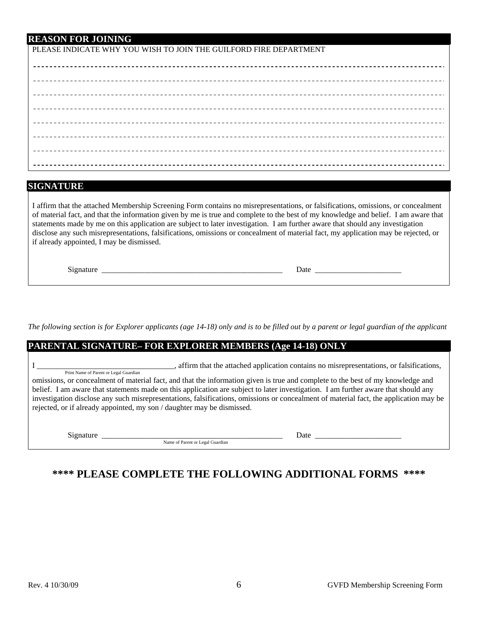PLEASE INDICATE WHY YOU WISH TO JOIN THE GUILFORD FIRE DEPARTMENT

#### **SIGNATURE**

I affirm that the attached Membership Screening Form contains no misrepresentations, or falsifications, omissions, or concealment of material fact, and that the information given by me is true and complete to the best of my knowledge and belief. I am aware that statements made by me on this application are subject to later investigation. I am further aware that should any investigation disclose any such misrepresentations, falsifications, omissions or concealment of material fact, my application may be rejected, or if already appointed, I may be dismissed.

Signature \_\_\_\_\_\_\_\_\_\_\_\_\_\_\_\_\_\_\_\_\_\_\_\_\_\_\_\_\_\_\_\_\_\_\_\_\_\_\_\_\_\_\_\_\_\_ Date \_\_\_\_\_\_\_\_\_\_\_\_\_\_\_\_\_\_\_\_\_\_

*The following section is for Explorer applicants (age 14-18) only and is to be filled out by a parent or legal guardian of the applicant* 

| <b>PARENTAL SIGNATURE-FOR EXPLORER MEMBERS (Age 14-18) ONLY</b>                                                  |                                                                                                                                                                                                                                                                                                                                                                                                                                                                                                           |  |  |  |
|------------------------------------------------------------------------------------------------------------------|-----------------------------------------------------------------------------------------------------------------------------------------------------------------------------------------------------------------------------------------------------------------------------------------------------------------------------------------------------------------------------------------------------------------------------------------------------------------------------------------------------------|--|--|--|
| Print Name of Parent or Legal Guardian<br>rejected, or if already appointed, my son / daughter may be dismissed. | affirm that the attached application contains no misrepresentations, or falsifications,<br>omissions, or concealment of material fact, and that the information given is true and complete to the best of my knowledge and<br>belief. I am aware that statements made on this application are subject to later investigation. I am further aware that should any<br>investigation disclose any such misrepresentations, falsifications, omissions or concealment of material fact, the application may be |  |  |  |
| Signature                                                                                                        | Date<br>Name of Parent or Legal Guardian                                                                                                                                                                                                                                                                                                                                                                                                                                                                  |  |  |  |

## **\*\*\*\* PLEASE COMPLETE THE FOLLOWING ADDITIONAL FORMS \*\*\*\***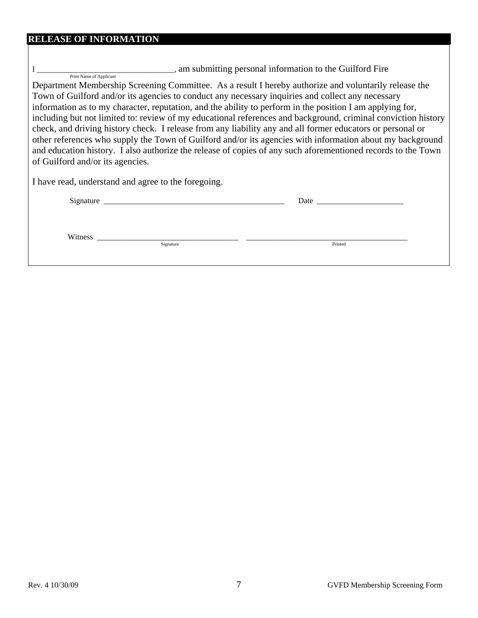| <b>RELEASE OF INFORMATION</b>                                                                                                                                                                                                                                                                                                                                               |         |  |  |  |
|-----------------------------------------------------------------------------------------------------------------------------------------------------------------------------------------------------------------------------------------------------------------------------------------------------------------------------------------------------------------------------|---------|--|--|--|
| Print Name of Applicant<br>Department Membership Screening Committee. As a result I hereby authorize and voluntarily release the<br>Town of Guilford and/or its agencies to conduct any necessary inquiries and collect any necessary<br>information as to my character, reputation, and the ability to perform in the position I am applying for,                          |         |  |  |  |
| including but not limited to: review of my educational references and background, criminal conviction history                                                                                                                                                                                                                                                               |         |  |  |  |
| check, and driving history check. I release from any liability any and all former educators or personal or<br>other references who supply the Town of Guilford and/or its agencies with information about my background<br>and education history. I also authorize the release of copies of any such aforementioned records to the Town<br>of Guilford and/or its agencies. |         |  |  |  |
| I have read, understand and agree to the foregoing.                                                                                                                                                                                                                                                                                                                         |         |  |  |  |
|                                                                                                                                                                                                                                                                                                                                                                             |         |  |  |  |
|                                                                                                                                                                                                                                                                                                                                                                             |         |  |  |  |
| Signature                                                                                                                                                                                                                                                                                                                                                                   | Printed |  |  |  |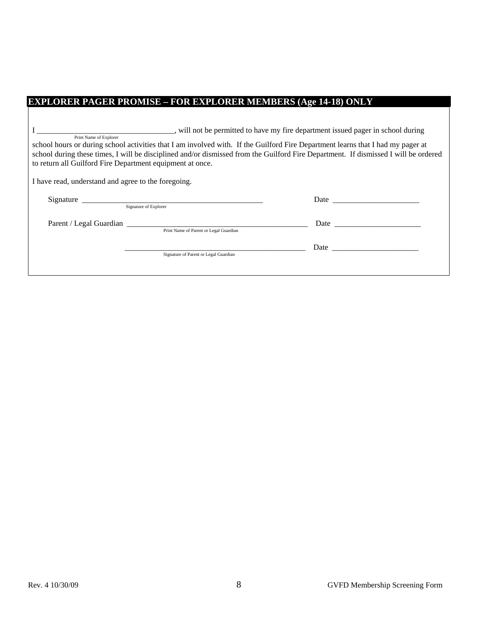## **EXPLORER PAGER PROMISE – FOR EXPLORER MEMBERS (Age 14-18) ONLY**

| will not be permitted to have my fire department issued pager in school during                                                                            |                                                                   |                                                                                                                                                                                                                                |  |  |
|-----------------------------------------------------------------------------------------------------------------------------------------------------------|-------------------------------------------------------------------|--------------------------------------------------------------------------------------------------------------------------------------------------------------------------------------------------------------------------------|--|--|
| Print Name of Explorer<br>school hours or during school activities that I am involved with. If the Guilford Fire Department learns that I had my pager at |                                                                   |                                                                                                                                                                                                                                |  |  |
| school during these times, I will be disciplined and/or dismissed from the Guilford Fire Department. If dismissed I will be ordered                       |                                                                   |                                                                                                                                                                                                                                |  |  |
| to return all Guilford Fire Department equipment at once.                                                                                                 |                                                                   |                                                                                                                                                                                                                                |  |  |
| I have read, understand and agree to the foregoing.                                                                                                       |                                                                   |                                                                                                                                                                                                                                |  |  |
|                                                                                                                                                           | Signature of Explorer                                             | Date and the contract of the contract of the contract of the contract of the contract of the contract of the contract of the contract of the contract of the contract of the contract of the contract of the contract of the c |  |  |
|                                                                                                                                                           |                                                                   |                                                                                                                                                                                                                                |  |  |
|                                                                                                                                                           | Parent / Legal Guardian<br>Print Name of Parent or Legal Guardian |                                                                                                                                                                                                                                |  |  |
|                                                                                                                                                           |                                                                   |                                                                                                                                                                                                                                |  |  |
|                                                                                                                                                           | Signature of Parent or Legal Guardian                             |                                                                                                                                                                                                                                |  |  |
|                                                                                                                                                           |                                                                   |                                                                                                                                                                                                                                |  |  |